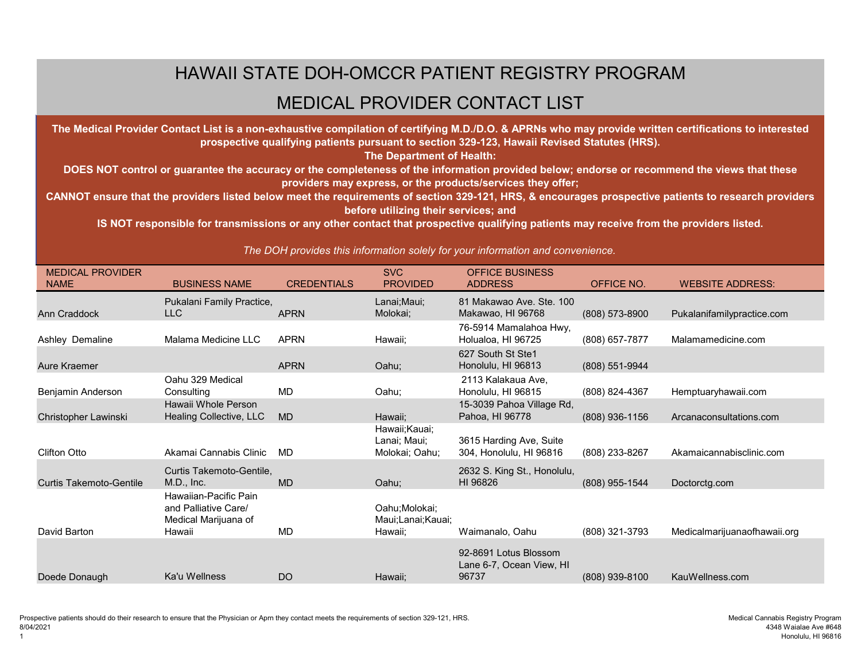## HAWAII STATE DOH-OMCCR PATIENT REGISTRY PROGRAM

## MEDICAL PROVIDER CONTACT LIST

**The Medical Provider Contact List is a non-exhaustive compilation of certifying M.D./D.O. & APRNs who may provide written certifications to interested prospective qualifying patients pursuant to section 329-123, Hawaii Revised Statutes (HRS).** 

**The Department of Health:**

**DOES NOT control or guarantee the accuracy or the completeness of the information provided below; endorse or recommend the views that these providers may express, or the products/services they offer;**

**CANNOT ensure that the providers listed below meet the requirements of section 329-121, HRS, & encourages prospective patients to research providers before utilizing their services; and**

**IS NOT responsible for transmissions or any other contact that prospective qualifying patients may receive from the providers listed.**

*The DOH provides this information solely for your information and convenience.*

| <b>MEDICAL PROVIDER</b>        |                           |                    | <b>SVC</b>        | <b>OFFICE BUSINESS</b>      |                  |                              |
|--------------------------------|---------------------------|--------------------|-------------------|-----------------------------|------------------|------------------------------|
| <b>NAME</b>                    | <b>BUSINESS NAME</b>      | <b>CREDENTIALS</b> | <b>PROVIDED</b>   | <b>ADDRESS</b>              | OFFICE NO.       | <b>WEBSITE ADDRESS:</b>      |
|                                | Pukalani Family Practice, |                    | Lanai; Maui;      | 81 Makawao Ave. Ste. 100    |                  |                              |
| Ann Craddock                   | <b>LLC</b>                | <b>APRN</b>        | Molokai;          | Makawao, HI 96768           | $(808)$ 573-8900 | Pukalanifamilypractice.com   |
|                                |                           |                    |                   | 76-5914 Mamalahoa Hwy,      |                  |                              |
| Ashley Demaline                | Malama Medicine LLC       | <b>APRN</b>        | Hawaii;           | Holualoa, HI 96725          | (808) 657-7877   | Malamamedicine.com           |
|                                |                           |                    |                   | 627 South St Ste1           |                  |                              |
| <b>Aure Kraemer</b>            |                           | <b>APRN</b>        | Oahu;             | Honolulu, HI 96813          | (808) 551-9944   |                              |
|                                | Oahu 329 Medical          |                    |                   | 2113 Kalakaua Ave,          |                  |                              |
| Benjamin Anderson              | Consulting                | <b>MD</b>          | Oahu;             | Honolulu, HI 96815          | (808) 824-4367   | Hemptuaryhawaii.com          |
|                                | Hawaii Whole Person       |                    |                   | 15-3039 Pahoa Village Rd,   |                  |                              |
| Christopher Lawinski           | Healing Collective, LLC   | <b>MD</b>          | Hawaii;           | Pahoa, HI 96778             | $(808)$ 936-1156 | Arcanaconsultations.com      |
|                                |                           |                    | Hawaii; Kauai;    |                             |                  |                              |
|                                |                           |                    | Lanai; Maui;      | 3615 Harding Ave, Suite     |                  |                              |
| <b>Clifton Otto</b>            | Akamai Cannabis Clinic    | <b>MD</b>          | Molokai; Oahu;    | 304, Honolulu, HI 96816     | (808) 233-8267   | Akamaicannabisclinic.com     |
|                                | Curtis Takemoto-Gentile,  |                    |                   | 2632 S. King St., Honolulu, |                  |                              |
| <b>Curtis Takemoto-Gentile</b> | M.D., Inc.                | <b>MD</b>          | Oahu;             | HI 96826                    | (808) 955-1544   | Doctorctg.com                |
|                                | Hawaiian-Pacific Pain     |                    |                   |                             |                  |                              |
|                                | and Palliative Care/      |                    | Oahu; Molokai;    |                             |                  |                              |
|                                | Medical Marijuana of      |                    | Maui;Lanai;Kauai; |                             |                  |                              |
| David Barton                   | Hawaii                    | <b>MD</b>          | Hawaii;           | Waimanalo, Oahu             | (808) 321-3793   | Medicalmarijuanaofhawaii.org |
|                                |                           |                    |                   | 92-8691 Lotus Blossom       |                  |                              |
|                                |                           |                    |                   | Lane 6-7, Ocean View, HI    |                  |                              |
| Doede Donaugh                  | Ka'u Wellness             | <b>DO</b>          | Hawaii;           | 96737                       | (808) 939-8100   | KauWellness.com              |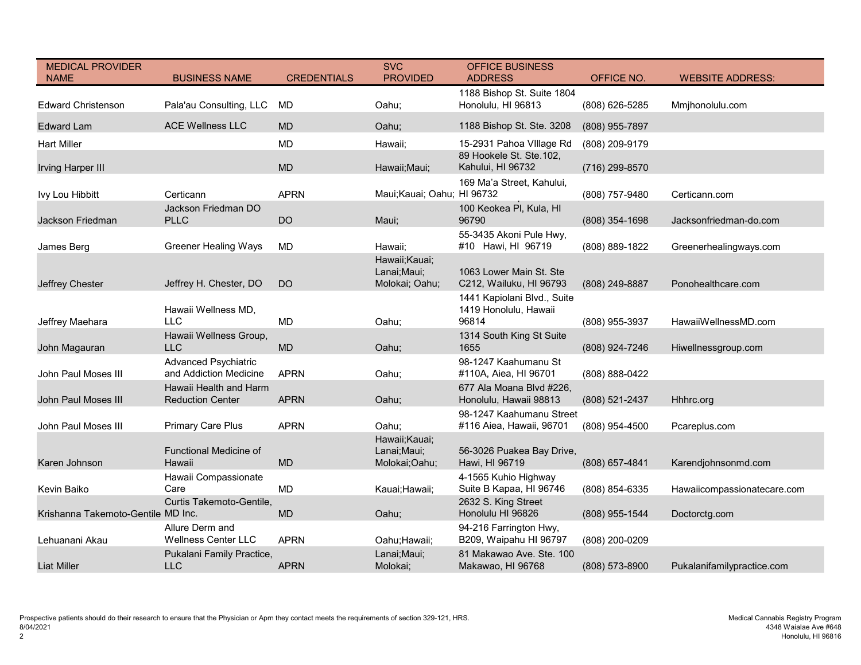| <b>MEDICAL PROVIDER</b><br><b>NAME</b> | <b>BUSINESS NAME</b>                                  | <b>CREDENTIALS</b> | <b>SVC</b><br><b>PROVIDED</b>                    | <b>OFFICE BUSINESS</b><br><b>ADDRESS</b>                      | OFFICE NO.         | <b>WEBSITE ADDRESS:</b>     |
|----------------------------------------|-------------------------------------------------------|--------------------|--------------------------------------------------|---------------------------------------------------------------|--------------------|-----------------------------|
|                                        |                                                       |                    |                                                  | 1188 Bishop St. Suite 1804                                    |                    |                             |
| <b>Edward Christenson</b>              | Pala'au Consulting, LLC                               | MD                 | Oahu;                                            | Honolulu, HI 96813                                            | (808) 626-5285     | Mmjhonolulu.com             |
| <b>Edward Lam</b>                      | <b>ACE Wellness LLC</b>                               | <b>MD</b>          | Oahu;                                            | 1188 Bishop St. Ste. 3208                                     | (808) 955-7897     |                             |
| <b>Hart Miller</b>                     |                                                       | <b>MD</b>          | Hawaii;                                          | 15-2931 Pahoa VIIIage Rd                                      | (808) 209-9179     |                             |
| <b>Irving Harper III</b>               |                                                       | <b>MD</b>          | Hawaii; Maui;                                    | 89 Hookele St. Ste.102,<br>Kahului, HI 96732                  | (716) 299-8570     |                             |
|                                        |                                                       |                    |                                                  | 169 Ma'a Street, Kahului,                                     |                    |                             |
| Ivy Lou Hibbitt                        | Certicann                                             | <b>APRN</b>        | Maui; Kauai; Oahu; HI 96732                      |                                                               | (808) 757-9480     | Certicann.com               |
| Jackson Friedman                       | Jackson Friedman DO<br><b>PLLC</b>                    | <b>DO</b>          | Maui;                                            | 100 Keokea PI, Kula, HI<br>96790                              | (808) 354-1698     | Jacksonfriedman-do.com      |
| James Berg                             | <b>Greener Healing Ways</b>                           | <b>MD</b>          | Hawaii;                                          | 55-3435 Akoni Pule Hwy,<br>#10 Hawi, HI 96719                 | (808) 889-1822     | Greenerhealingways.com      |
| Jeffrey Chester                        | Jeffrey H. Chester, DO                                | <b>DO</b>          | Hawaii; Kauai;<br>Lanai; Maui;<br>Molokai; Oahu; | 1063 Lower Main St. Ste<br>C212, Wailuku, HI 96793            | (808) 249-8887     | Ponohealthcare.com          |
| Jeffrey Maehara                        | Hawaii Wellness MD,<br><b>LLC</b>                     | <b>MD</b>          | Oahu;                                            | 1441 Kapiolani Blvd., Suite<br>1419 Honolulu, Hawaii<br>96814 | (808) 955-3937     | HawaiiWellnessMD.com        |
| John Magauran                          | Hawaii Wellness Group,<br><b>LLC</b>                  | <b>MD</b>          | Oahu;                                            | 1314 South King St Suite<br>1655                              | (808) 924-7246     | Hiwellnessgroup.com         |
| John Paul Moses III                    | <b>Advanced Psychiatric</b><br>and Addiction Medicine | <b>APRN</b>        | Oahu;                                            | 98-1247 Kaahumanu St<br>#110A, Aiea, HI 96701                 | $(808) 888 - 0422$ |                             |
| <b>John Paul Moses III</b>             | Hawaii Health and Harm<br><b>Reduction Center</b>     | <b>APRN</b>        | Oahu;                                            | 677 Ala Moana Blvd #226,<br>Honolulu, Hawaii 98813            | (808) 521-2437     | Hhhrc.org                   |
| John Paul Moses III                    | <b>Primary Care Plus</b>                              | <b>APRN</b>        | Oahu;<br>Hawaii; Kauai;                          | 98-1247 Kaahumanu Street<br>#116 Aiea, Hawaii, 96701          | $(808)$ 954-4500   | Pcareplus.com               |
| Karen Johnson                          | <b>Functional Medicine of</b><br>Hawaii               | <b>MD</b>          | Lanai; Maui;<br>Molokai;Oahu;                    | 56-3026 Puakea Bay Drive,<br>Hawi, HI 96719                   | (808) 657-4841     | Karendjohnsonmd.com         |
| Kevin Baiko                            | Hawaii Compassionate<br>Care                          | MD                 | Kauai; Hawaii;                                   | 4-1565 Kuhio Highway<br>Suite B Kapaa, HI 96746               | (808) 854-6335     | Hawaiicompassionatecare.com |
| Krishanna Takemoto-Gentile MD Inc.     | <b>Curtis Takemoto-Gentile,</b>                       | <b>MD</b>          | Oahu;                                            | 2632 S. King Street<br>Honolulu HI 96826                      | (808) 955-1544     | Doctorctg.com               |
|                                        | Allure Derm and                                       |                    |                                                  | 94-216 Farrington Hwy,                                        |                    |                             |
| Lehuanani Akau                         | <b>Wellness Center LLC</b>                            | <b>APRN</b>        | Oahu; Hawaii;                                    | B209, Waipahu HI 96797                                        | (808) 200-0209     |                             |
| <b>Liat Miller</b>                     | Pukalani Family Practice,<br><b>LLC</b>               | <b>APRN</b>        | Lanai; Maui;<br>Molokai;                         | 81 Makawao Ave. Ste. 100<br>Makawao, HI 96768                 | (808) 573-8900     | Pukalanifamilypractice.com  |